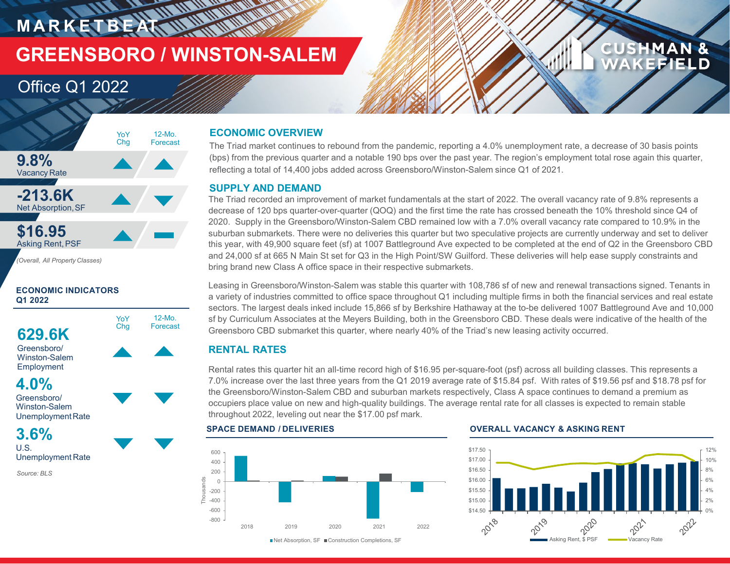## **MARKETBEAT WATERWARE GREENSBORO / WINSTON-SALEM**

12-Mo. Forecast

YoY Chg

### Office Q1 2022



### **ECONOMIC INDICATORS Q1 2022**





**4.0%** Greensboro/

Winston-Salem UnemploymentRate

### **3.6%** U.S.

Unemployment Rate

*Source: BLS*

### **ECONOMIC OVERVIEW**

The Triad market continues to rebound from the pandemic, reporting a 4.0% unemployment rate, a decrease of 30 basis points (bps) from the previous quarter and a notable 190 bps over the past year. The region's employment total rose again this quarter, reflecting a total of 14,400 jobs added across Greensboro/Winston-Salem since Q1 of 2021.

### **SUPPLY AND DEMAND**

The Triad recorded an improvement of market fundamentals at the start of 2022. The overall vacancy rate of 9.8% represents a decrease of 120 bps quarter-over-quarter (QOQ) and the first time the rate has crossed beneath the 10% threshold since Q4 of 2020. Supply in the Greensboro/Winston-Salem CBD remained low with a 7.0% overall vacancy rate compared to 10.9% in the suburban submarkets. There were no deliveries this quarter but two speculative projects are currently underway and set to deliver this year, with 49,900 square feet (sf) at 1007 Battleground Ave expected to be completed at the end of Q2 in the Greensboro CBD and 24,000 sf at 665 N Main St set for Q3 in the High Point/SW Guilford. These deliveries will help ease supply constraints and bring brand new Class A office space in their respective submarkets.

Leasing in Greensboro/Winston-Salem was stable this quarter with 108,786 sf of new and renewal transactions signed. Tenants in a variety of industries committed to office space throughout Q1 including multiple firms in both the financial services and real estate sectors. The largest deals inked include 15,866 sf by Berkshire Hathaway at the to-be delivered 1007 Battleground Ave and 10,000 sf by Curriculum Associates at the Meyers Building, both in the Greensboro CBD. These deals were indicative of the health of the Greensboro CBD submarket this quarter, where nearly 40% of the Triad's new leasing activity occurred.

### **RENTAL RATES**

Rental rates this quarter hit an all-time record high of \$16.95 per-square-foot (psf) across all building classes. This represents a 7.0% increase over the last three years from the Q1 2019 average rate of \$15.84 psf. With rates of \$19.56 psf and \$18.78 psf for the Greensboro/Winston-Salem CBD and suburban markets respectively, Class A space continues to demand a premium as occupiers place value on new and high-quality buildings. The average rental rate for all classes is expected to remain stable throughout 2022, leveling out near the \$17.00 psf mark.



### **SPACE DEMAND / DELIVERIES OVERALL VACANCY & ASKING RENT**



**CUSHMAN &** 

**KEFIELD** 

■Net Absorption, SF ■ Construction Completions, SF